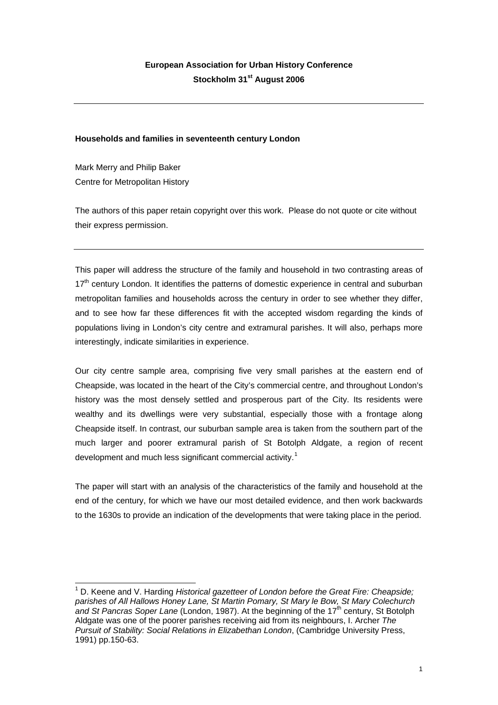# **Households and families in seventeenth century London**

Mark Merry and Philip Baker Centre for Metropolitan History

The authors of this paper retain copyright over this work. Please do not quote or cite without their express permission.

This paper will address the structure of the family and household in two contrasting areas of 17<sup>th</sup> century London. It identifies the patterns of domestic experience in central and suburban metropolitan families and households across the century in order to see whether they differ, and to see how far these differences fit with the accepted wisdom regarding the kinds of populations living in London's city centre and extramural parishes. It will also, perhaps more interestingly, indicate similarities in experience.

Our city centre sample area, comprising five very small parishes at the eastern end of Cheapside, was located in the heart of the City's commercial centre, and throughout London's history was the most densely settled and prosperous part of the City. Its residents were wealthy and its dwellings were very substantial, especially those with a frontage along Cheapside itself. In contrast, our suburban sample area is taken from the southern part of the much larger and poorer extramural parish of St Botolph Aldgate, a region of recent development and much less significant commercial activity.<sup>[1](#page-0-0)</sup>

The paper will start with an analysis of the characteristics of the family and household at the end of the century, for which we have our most detailed evidence, and then work backwards to the 1630s to provide an indication of the developments that were taking place in the period.

<span id="page-0-0"></span>l <sup>1</sup> D. Keene and V. Harding *Historical gazetteer of London before the Great Fire: Cheapside; parishes of All Hallows Honey Lane, St Martin Pomary, St Mary le Bow, St Mary Colechurch*  and St Pancras Soper Lane (London, 1987). At the beginning of the 17<sup>th</sup> century, St Botolph Aldgate was one of the poorer parishes receiving aid from its neighbours, I. Archer *The Pursuit of Stability: Social Relations in Elizabethan London*, (Cambridge University Press, 1991) pp.150-63.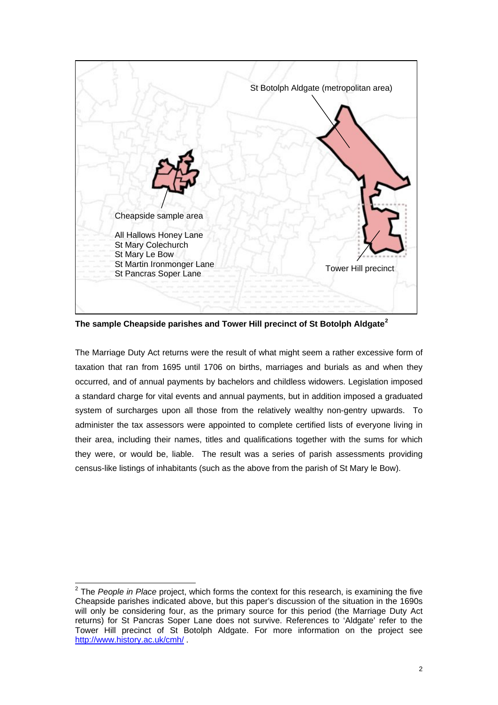

**The sample Cheapside parishes and Tower Hill precinct of St Botolph Aldgate[2](#page-1-0)**

The Marriage Duty Act returns were the result of what might seem a rather excessive form of taxation that ran from 1695 until 1706 on births, marriages and burials as and when they occurred, and of annual payments by bachelors and childless widowers. Legislation imposed a standard charge for vital events and annual payments, but in addition imposed a graduated system of surcharges upon all those from the relatively wealthy non-gentry upwards. To administer the tax assessors were appointed to complete certified lists of everyone living in their area, including their names, titles and qualifications together with the sums for which they were, or would be, liable. The result was a series of parish assessments providing census-like listings of inhabitants (such as the above from the parish of St Mary le Bow).

<span id="page-1-0"></span>l 2 The *People in Place* project, which forms the context for this research, is examining the five Cheapside parishes indicated above, but this paper's discussion of the situation in the 1690s will only be considering four, as the primary source for this period (the Marriage Duty Act returns) for St Pancras Soper Lane does not survive. References to 'Aldgate' refer to the Tower Hill precinct of St Botolph Aldgate. For more information on the project see <http://www.history.ac.uk/cmh/>.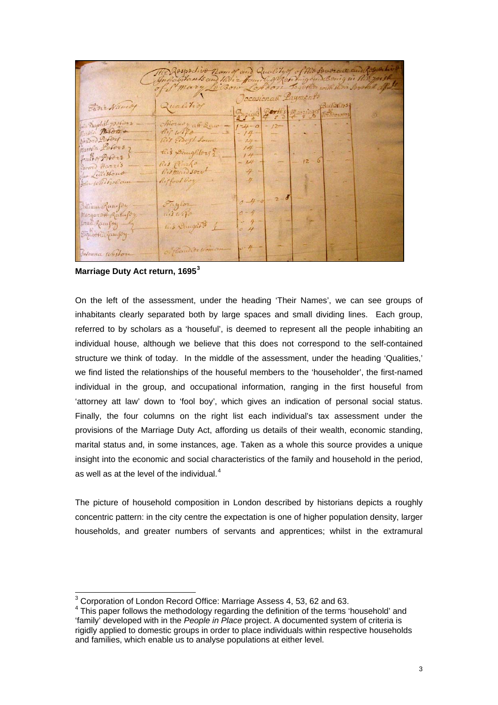|                                                                     | Me Rospodivo namo and Quality of this Soverace and Regarding |                                                            |                                                                                                                                                                                                                                                                                                                                                                                                                                                                                                   |  |
|---------------------------------------------------------------------|--------------------------------------------------------------|------------------------------------------------------------|---------------------------------------------------------------------------------------------------------------------------------------------------------------------------------------------------------------------------------------------------------------------------------------------------------------------------------------------------------------------------------------------------------------------------------------------------------------------------------------------------|--|
| Flore Name                                                          | Qualition                                                    | Cecasionall Layments<br>Buying Booth's Margines Bachallors |                                                                                                                                                                                                                                                                                                                                                                                                                                                                                                   |  |
| the Payshist poeters<br>Martin Totors<br>Airdord Loforf             | Horney aff Saw -<br>Ris Eldeft Source                        | $1 - 4 - 0$<br>$-14-$<br>$-14-$ - $-$                      | $-12$ - - - - - - -<br>$\frac{1}{2} \left( \frac{1}{2} \right) \left( \frac{1}{2} \right) \left( \frac{1}{2} \right) \left( \frac{1}{2} \right) \left( \frac{1}{2} \right) \left( \frac{1}{2} \right) \left( \frac{1}{2} \right) \left( \frac{1}{2} \right) \left( \frac{1}{2} \right) \left( \frac{1}{2} \right) \left( \frac{1}{2} \right) \left( \frac{1}{2} \right) \left( \frac{1}{2} \right) \left( \frac{1}{2} \right) \left( \frac{1}{2} \right) \left( \frac{1}{2} \right) \left( \frac$ |  |
| Martia Lofors<br>france of Pofors<br>Down Harris<br>chan Lillistons | this Doughlors ?<br>Ris Rache<br>Rismail sort                | $\frac{14}{14}$ -<br>$-14 -$<br>$+ -$                      | THE R. P. LEWIS<br>$12-6$ –<br>$\mathcal{L} = \mathcal{L}$                                                                                                                                                                                                                                                                                                                                                                                                                                        |  |
| John Whitwolcum                                                     | Rifford Goy                                                  | $+$ $    -$<br>$0 - 4 - 0 - 2 - 0$ -                       |                                                                                                                                                                                                                                                                                                                                                                                                                                                                                                   |  |
| Intiana Ransfor<br>Margarott Ratufor<br>brak famfoy -               | Faylor<br>nisulfa<br>tus Raugars 1                           | $0 - 4$ - -<br>$-4$                                        |                                                                                                                                                                                                                                                                                                                                                                                                                                                                                                   |  |
| Elizaboth Ramfory<br>Susanna Weston                                 | Of Themselve Women                                           | $3 - 4 -$                                                  |                                                                                                                                                                                                                                                                                                                                                                                                                                                                                                   |  |

**Marriage Duty Act return, 1695[3](#page-2-0)** 

On the left of the assessment, under the heading 'Their Names', we can see groups of inhabitants clearly separated both by large spaces and small dividing lines. Each group, referred to by scholars as a 'houseful', is deemed to represent all the people inhabiting an individual house, although we believe that this does not correspond to the self-contained structure we think of today. In the middle of the assessment, under the heading 'Qualities,' we find listed the relationships of the houseful members to the 'householder', the first-named individual in the group, and occupational information, ranging in the first houseful from 'attorney att law' down to 'fool boy', which gives an indication of personal social status. Finally, the four columns on the right list each individual's tax assessment under the provisions of the Marriage Duty Act, affording us details of their wealth, economic standing, marital status and, in some instances, age. Taken as a whole this source provides a unique insight into the economic and social characteristics of the family and household in the period, as well as at the level of the individual. $4$ 

The picture of household composition in London described by historians depicts a roughly concentric pattern: in the city centre the expectation is one of higher population density, larger households, and greater numbers of servants and apprentices; whilst in the extramural

 3 Corporation of London Record Office: Marriage Assess 4, 53, 62 and 63.

<span id="page-2-1"></span><span id="page-2-0"></span> $4$  This paper follows the methodology regarding the definition of the terms 'household' and 'family' developed with in the *People in Place* project. A documented system of criteria is rigidly applied to domestic groups in order to place individuals within respective households and families, which enable us to analyse populations at either level.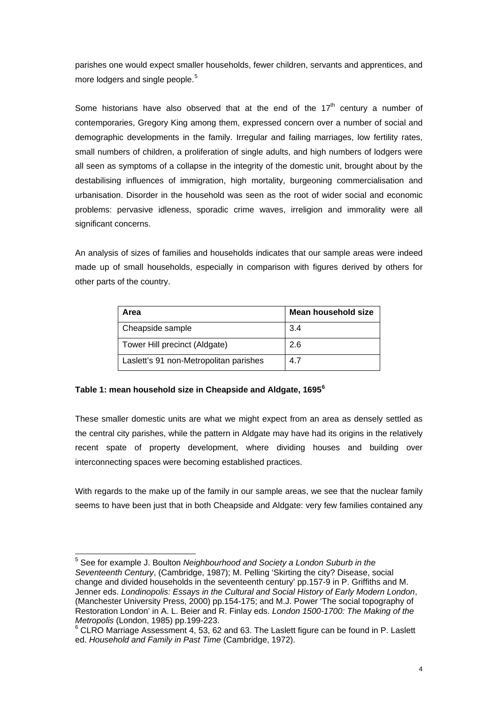parishes one would expect smaller households, fewer children, servants and apprentices, and more lodgers and single people. $5$ 

Some historians have also observed that at the end of the  $17<sup>th</sup>$  century a number of contemporaries, Gregory King among them, expressed concern over a number of social and demographic developments in the family. Irregular and failing marriages, low fertility rates, small numbers of children, a proliferation of single adults, and high numbers of lodgers were all seen as symptoms of a collapse in the integrity of the domestic unit, brought about by the destabilising influences of immigration, high mortality, burgeoning commercialisation and urbanisation. Disorder in the household was seen as the root of wider social and economic problems: pervasive idleness, sporadic crime waves, irreligion and immorality were all significant concerns.

An analysis of sizes of families and households indicates that our sample areas were indeed made up of small households, especially in comparison with figures derived by others for other parts of the country.

| Area                                   | Mean household size |
|----------------------------------------|---------------------|
| Cheapside sample                       | 3.4                 |
| Tower Hill precinct (Aldgate)          | 2.6                 |
| Laslett's 91 non-Metropolitan parishes | 4.7                 |

## **Table 1: mean household size in Cheapside and Aldgate, 1695[6](#page-3-1)**

These smaller domestic units are what we might expect from an area as densely settled as the central city parishes, while the pattern in Aldgate may have had its origins in the relatively recent spate of property development, where dividing houses and building over interconnecting spaces were becoming established practices.

With regards to the make up of the family in our sample areas, we see that the nuclear family seems to have been just that in both Cheapside and Aldgate: very few families contained any

<span id="page-3-0"></span>l 5 See for example J. Boulton *Neighbourhood and Society a London Suburb in the Seventeenth Century*, (Cambridge, 1987); M. Pelling 'Skirting the city? Disease, social change and divided households in the seventeenth century' pp.157-9 in P. Griffiths and M. Jenner eds. *Londinopolis: Essays in the Cultural and Social History of Early Modern London*, (Manchester University Press, 2000) pp.154-175; and M.J. Power 'The social topography of Restoration London' in A. L. Beier and R. Finlay eds. *London 1500-1700: The Making of the Metropolis* (London, 1985) pp.199-223.

<span id="page-3-1"></span> $6$  CLRO Marriage Assessment 4, 53, 62 and 63. The Laslett figure can be found in P. Laslett ed. *Household and Family in Past Time* (Cambridge, 1972).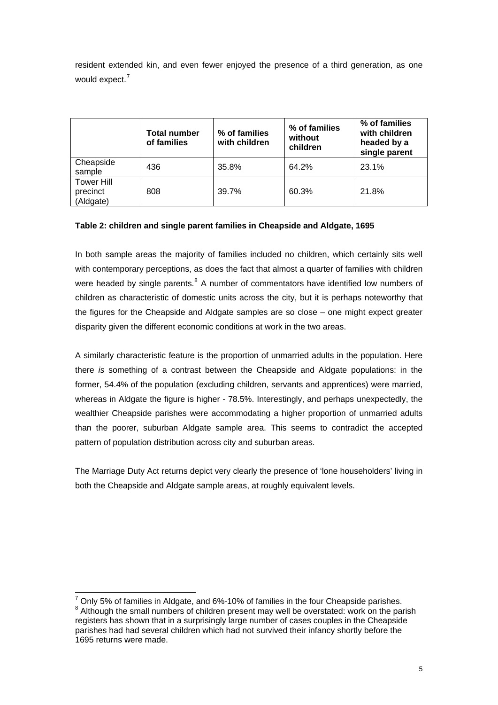resident extended kin, and even fewer enjoyed the presence of a third generation, as one would expect.<sup>[7](#page-4-0)</sup>

|                                            | <b>Total number</b><br>of families | % of families<br>with children | % of families<br>without<br>children | % of families<br>with children<br>headed by a<br>single parent |
|--------------------------------------------|------------------------------------|--------------------------------|--------------------------------------|----------------------------------------------------------------|
| Cheapside<br>sample                        | 436                                | 35.8%                          | 64.2%                                | 23.1%                                                          |
| <b>Tower Hill</b><br>precinct<br>(Aldgate) | 808                                | 39.7%                          | 60.3%                                | 21.8%                                                          |

# **Table 2: children and single parent families in Cheapside and Aldgate, 1695**

In both sample areas the majority of families included no children, which certainly sits well with contemporary perceptions, as does the fact that almost a quarter of families with children were headed by single parents. $8$  A number of commentators have identified low numbers of children as characteristic of domestic units across the city, but it is perhaps noteworthy that the figures for the Cheapside and Aldgate samples are so close – one might expect greater disparity given the different economic conditions at work in the two areas.

A similarly characteristic feature is the proportion of unmarried adults in the population. Here there *is* something of a contrast between the Cheapside and Aldgate populations: in the former, 54.4% of the population (excluding children, servants and apprentices) were married, whereas in Aldgate the figure is higher - 78.5%. Interestingly, and perhaps unexpectedly, the wealthier Cheapside parishes were accommodating a higher proportion of unmarried adults than the poorer, suburban Aldgate sample area. This seems to contradict the accepted pattern of population distribution across city and suburban areas.

The Marriage Duty Act returns depict very clearly the presence of 'lone householders' living in both the Cheapside and Aldgate sample areas, at roughly equivalent levels.

<span id="page-4-1"></span><span id="page-4-0"></span><sup>&</sup>lt;sup>7</sup> Only 5% of families in Aldgate, and 6%-10% of families in the four Cheapside parishes.<br><sup>8</sup> Although the small numbers of objiding present mou well be overstated weak on the part  $8$  Although the small numbers of children present may well be overstated: work on the parish registers has shown that in a surprisingly large number of cases couples in the Cheapside parishes had had several children which had not survived their infancy shortly before the 1695 returns were made.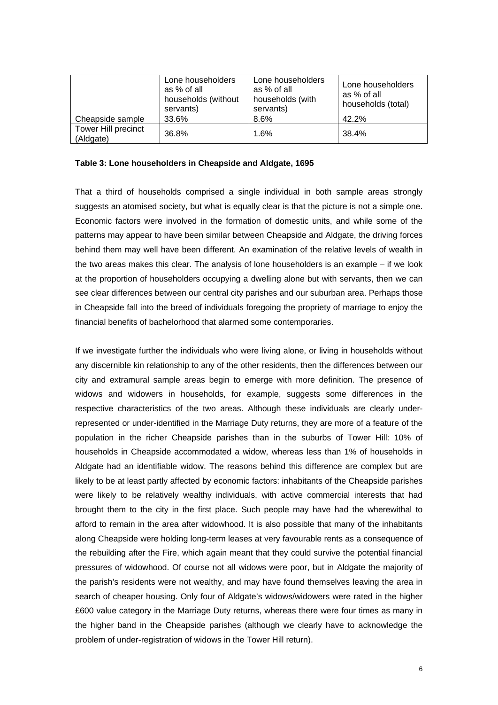|                                         | Lone householders<br>as % of all<br>households (without<br>servants) | Lone householders<br>as % of all<br>households (with<br>servants) | Lone householders<br>as % of all<br>households (total) |
|-----------------------------------------|----------------------------------------------------------------------|-------------------------------------------------------------------|--------------------------------------------------------|
| Cheapside sample                        | 33.6%                                                                | 8.6%                                                              | 42.2%                                                  |
| <b>Tower Hill precinct</b><br>(Aldgate) | 36.8%                                                                | 1.6%                                                              | 38.4%                                                  |

#### **Table 3: Lone householders in Cheapside and Aldgate, 1695**

That a third of households comprised a single individual in both sample areas strongly suggests an atomised society, but what is equally clear is that the picture is not a simple one. Economic factors were involved in the formation of domestic units, and while some of the patterns may appear to have been similar between Cheapside and Aldgate, the driving forces behind them may well have been different. An examination of the relative levels of wealth in the two areas makes this clear. The analysis of lone householders is an example – if we look at the proportion of householders occupying a dwelling alone but with servants, then we can see clear differences between our central city parishes and our suburban area. Perhaps those in Cheapside fall into the breed of individuals foregoing the propriety of marriage to enjoy the financial benefits of bachelorhood that alarmed some contemporaries.

If we investigate further the individuals who were living alone, or living in households without any discernible kin relationship to any of the other residents, then the differences between our city and extramural sample areas begin to emerge with more definition. The presence of widows and widowers in households, for example, suggests some differences in the respective characteristics of the two areas. Although these individuals are clearly underrepresented or under-identified in the Marriage Duty returns, they are more of a feature of the population in the richer Cheapside parishes than in the suburbs of Tower Hill: 10% of households in Cheapside accommodated a widow, whereas less than 1% of households in Aldgate had an identifiable widow. The reasons behind this difference are complex but are likely to be at least partly affected by economic factors: inhabitants of the Cheapside parishes were likely to be relatively wealthy individuals, with active commercial interests that had brought them to the city in the first place. Such people may have had the wherewithal to afford to remain in the area after widowhood. It is also possible that many of the inhabitants along Cheapside were holding long-term leases at very favourable rents as a consequence of the rebuilding after the Fire, which again meant that they could survive the potential financial pressures of widowhood. Of course not all widows were poor, but in Aldgate the majority of the parish's residents were not wealthy, and may have found themselves leaving the area in search of cheaper housing. Only four of Aldgate's widows/widowers were rated in the higher £600 value category in the Marriage Duty returns, whereas there were four times as many in the higher band in the Cheapside parishes (although we clearly have to acknowledge the problem of under-registration of widows in the Tower Hill return).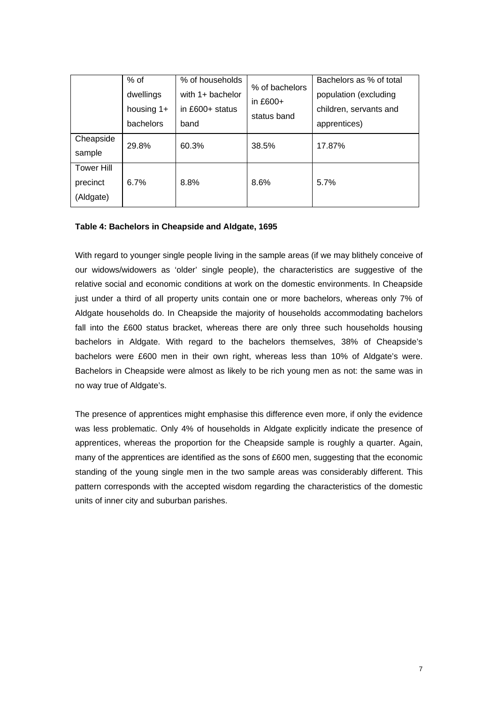|                                            | % of<br>dwellings<br>housing 1+<br>bachelors | % of households<br>with $1+$ bachelor<br>in $£600+$ status<br>band | % of bachelors<br>in £600+<br>status band | Bachelors as % of total<br>population (excluding<br>children, servants and<br>apprentices) |
|--------------------------------------------|----------------------------------------------|--------------------------------------------------------------------|-------------------------------------------|--------------------------------------------------------------------------------------------|
| Cheapside<br>sample                        | 29.8%                                        | 60.3%                                                              | 38.5%                                     | 17.87%                                                                                     |
| <b>Tower Hill</b><br>precinct<br>(Aldgate) | 6.7%                                         | 8.8%                                                               | 8.6%                                      | 5.7%                                                                                       |

## **Table 4: Bachelors in Cheapside and Aldgate, 1695**

With regard to younger single people living in the sample areas (if we may blithely conceive of our widows/widowers as 'older' single people), the characteristics are suggestive of the relative social and economic conditions at work on the domestic environments. In Cheapside just under a third of all property units contain one or more bachelors, whereas only 7% of Aldgate households do. In Cheapside the majority of households accommodating bachelors fall into the £600 status bracket, whereas there are only three such households housing bachelors in Aldgate. With regard to the bachelors themselves, 38% of Cheapside's bachelors were £600 men in their own right, whereas less than 10% of Aldgate's were. Bachelors in Cheapside were almost as likely to be rich young men as not: the same was in no way true of Aldgate's.

The presence of apprentices might emphasise this difference even more, if only the evidence was less problematic. Only 4% of households in Aldgate explicitly indicate the presence of apprentices, whereas the proportion for the Cheapside sample is roughly a quarter. Again, many of the apprentices are identified as the sons of £600 men, suggesting that the economic standing of the young single men in the two sample areas was considerably different. This pattern corresponds with the accepted wisdom regarding the characteristics of the domestic units of inner city and suburban parishes.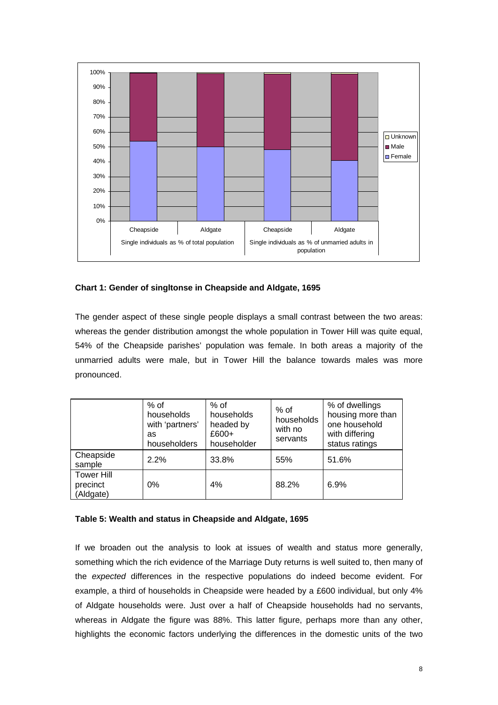

## **Chart 1: Gender of singltonse in Cheapside and Aldgate, 1695**

The gender aspect of these single people displays a small contrast between the two areas: whereas the gender distribution amongst the whole population in Tower Hill was quite equal, 54% of the Cheapside parishes' population was female. In both areas a majority of the unmarried adults were male, but in Tower Hill the balance towards males was more pronounced.

|                                            | $%$ of<br>households<br>with 'partners'<br>as<br>householders | % of<br>households<br>headed by<br>£600+<br>householder | $%$ of<br>households<br>with no<br>servants | % of dwellings<br>housing more than<br>one household<br>with differing<br>status ratings |
|--------------------------------------------|---------------------------------------------------------------|---------------------------------------------------------|---------------------------------------------|------------------------------------------------------------------------------------------|
| Cheapside<br>sample                        | 2.2%                                                          | 33.8%                                                   | 55%                                         | 51.6%                                                                                    |
| <b>Tower Hill</b><br>precinct<br>(Aldgate) | 0%                                                            | 4%                                                      | 88.2%                                       | 6.9%                                                                                     |

## **Table 5: Wealth and status in Cheapside and Aldgate, 1695**

If we broaden out the analysis to look at issues of wealth and status more generally, something which the rich evidence of the Marriage Duty returns is well suited to, then many of the *expected* differences in the respective populations do indeed become evident. For example, a third of households in Cheapside were headed by a £600 individual, but only 4% of Aldgate households were. Just over a half of Cheapside households had no servants, whereas in Aldgate the figure was 88%. This latter figure, perhaps more than any other, highlights the economic factors underlying the differences in the domestic units of the two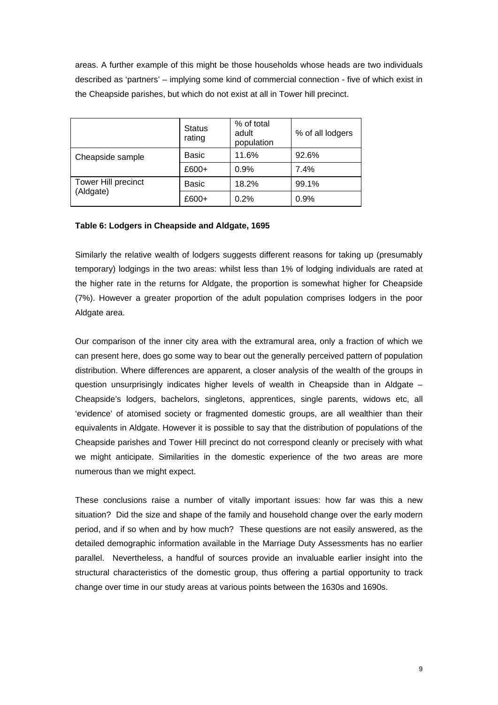areas. A further example of this might be those households whose heads are two individuals described as 'partners' – implying some kind of commercial connection - five of which exist in the Cheapside parishes, but which do not exist at all in Tower hill precinct.

|                            | <b>Status</b><br>rating | % of total<br>adult<br>population | % of all lodgers |
|----------------------------|-------------------------|-----------------------------------|------------------|
| Cheapside sample           | Basic                   | 11.6%                             | 92.6%            |
|                            | £600+                   | 0.9%                              | 7.4%             |
| <b>Tower Hill precinct</b> | <b>Basic</b>            | 18.2%                             | 99.1%            |
| (Aldgate)                  | £600+                   | 0.2%                              | 0.9%             |

## **Table 6: Lodgers in Cheapside and Aldgate, 1695**

Similarly the relative wealth of lodgers suggests different reasons for taking up (presumably temporary) lodgings in the two areas: whilst less than 1% of lodging individuals are rated at the higher rate in the returns for Aldgate, the proportion is somewhat higher for Cheapside (7%). However a greater proportion of the adult population comprises lodgers in the poor Aldgate area.

Our comparison of the inner city area with the extramural area, only a fraction of which we can present here, does go some way to bear out the generally perceived pattern of population distribution. Where differences are apparent, a closer analysis of the wealth of the groups in question unsurprisingly indicates higher levels of wealth in Cheapside than in Aldgate – Cheapside's lodgers, bachelors, singletons, apprentices, single parents, widows etc, all 'evidence' of atomised society or fragmented domestic groups, are all wealthier than their equivalents in Aldgate. However it is possible to say that the distribution of populations of the Cheapside parishes and Tower Hill precinct do not correspond cleanly or precisely with what we might anticipate. Similarities in the domestic experience of the two areas are more numerous than we might expect.

These conclusions raise a number of vitally important issues: how far was this a new situation? Did the size and shape of the family and household change over the early modern period, and if so when and by how much? These questions are not easily answered, as the detailed demographic information available in the Marriage Duty Assessments has no earlier parallel. Nevertheless, a handful of sources provide an invaluable earlier insight into the structural characteristics of the domestic group, thus offering a partial opportunity to track change over time in our study areas at various points between the 1630s and 1690s.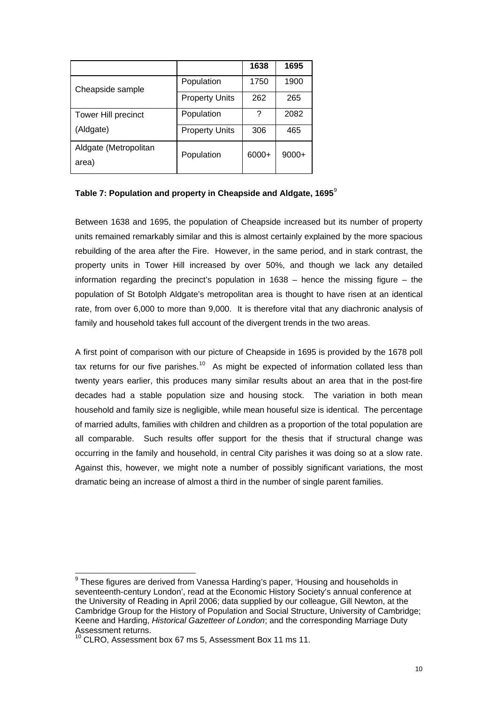|                                |                       | 1638  | 1695    |
|--------------------------------|-----------------------|-------|---------|
| Cheapside sample               | Population            | 1750  | 1900    |
|                                | <b>Property Units</b> | 262   | 265     |
| <b>Tower Hill precinct</b>     | Population            | ?     | 2082    |
| (Aldgate)                      | <b>Property Units</b> | 306   | 465     |
| Aldgate (Metropolitan<br>area) | Population            | 6000+ | $9000+$ |

#### **Table 7: Population and property in Cheapside and Aldgate, 1695**[9](#page-9-0)

Between 1638 and 1695, the population of Cheapside increased but its number of property units remained remarkably similar and this is almost certainly explained by the more spacious rebuilding of the area after the Fire. However, in the same period, and in stark contrast, the property units in Tower Hill increased by over 50%, and though we lack any detailed information regarding the precinct's population in  $1638 -$  hence the missing figure – the population of St Botolph Aldgate's metropolitan area is thought to have risen at an identical rate, from over 6,000 to more than 9,000. It is therefore vital that any diachronic analysis of family and household takes full account of the divergent trends in the two areas.

A first point of comparison with our picture of Cheapside in 1695 is provided by the 1678 poll tax returns for our five parishes.<sup>[10](#page-9-1)</sup> As might be expected of information collated less than twenty years earlier, this produces many similar results about an area that in the post-fire decades had a stable population size and housing stock. The variation in both mean household and family size is negligible, while mean houseful size is identical. The percentage of married adults, families with children and children as a proportion of the total population are all comparable. Such results offer support for the thesis that if structural change was occurring in the family and household, in central City parishes it was doing so at a slow rate. Against this, however, we might note a number of possibly significant variations, the most dramatic being an increase of almost a third in the number of single parent families.

<span id="page-9-0"></span> 9 These figures are derived from Vanessa Harding's paper, 'Housing and households in seventeenth-century London', read at the Economic History Society's annual conference at the University of Reading in April 2006; data supplied by our colleague, Gill Newton, at the Cambridge Group for the History of Population and Social Structure, University of Cambridge; Keene and Harding, *Historical Gazetteer of London*; and the corresponding Marriage Duty Assessment returns.

<span id="page-9-1"></span><sup>&</sup>lt;sup>10</sup> CLRO. Assessment box 67 ms 5, Assessment Box 11 ms 11.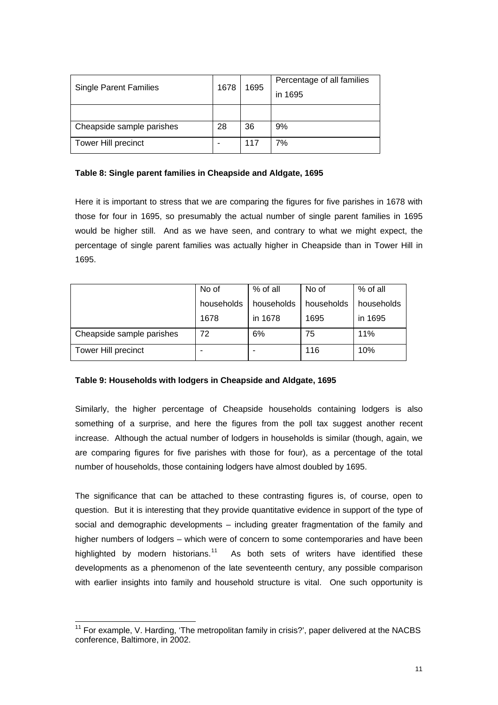| <b>Single Parent Families</b> | 1678 | 1695 | Percentage of all families |
|-------------------------------|------|------|----------------------------|
|                               |      |      | in 1695                    |
|                               |      |      |                            |
| Cheapside sample parishes     | 28   | 36   | 9%                         |
| Tower Hill precinct           |      | 117  | 7%                         |

### **Table 8: Single parent families in Cheapside and Aldgate, 1695**

Here it is important to stress that we are comparing the figures for five parishes in 1678 with those for four in 1695, so presumably the actual number of single parent families in 1695 would be higher still. And as we have seen, and contrary to what we might expect, the percentage of single parent families was actually higher in Cheapside than in Tower Hill in 1695.

|                            | No of      | % of all   | No of      | % of all   |
|----------------------------|------------|------------|------------|------------|
|                            | households | households | households | households |
|                            | 1678       | in 1678    | 1695       | in 1695    |
| Cheapside sample parishes  | 72         | 6%         | 75         | 11%        |
| <b>Tower Hill precinct</b> |            |            | 116        | 10%        |

## **Table 9: Households with lodgers in Cheapside and Aldgate, 1695**

Similarly, the higher percentage of Cheapside households containing lodgers is also something of a surprise, and here the figures from the poll tax suggest another recent increase. Although the actual number of lodgers in households is similar (though, again, we are comparing figures for five parishes with those for four), as a percentage of the total number of households, those containing lodgers have almost doubled by 1695.

The significance that can be attached to these contrasting figures is, of course, open to question. But it is interesting that they provide quantitative evidence in support of the type of social and demographic developments – including greater fragmentation of the family and higher numbers of lodgers – which were of concern to some contemporaries and have been highlighted by modern historians. $11$  As both sets of writers have identified these developments as a phenomenon of the late seventeenth century, any possible comparison with earlier insights into family and household structure is vital. One such opportunity is

<span id="page-10-0"></span>l  $11$  For example, V. Harding, 'The metropolitan family in crisis?', paper delivered at the NACBS conference, Baltimore, in 2002.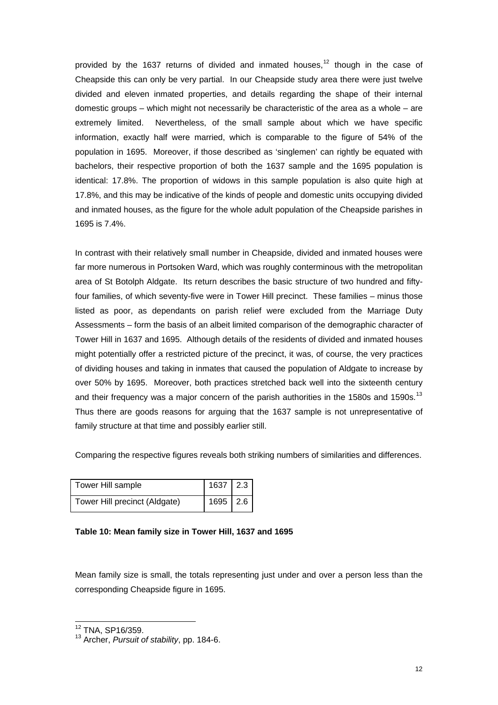provided by the 1637 returns of divided and inmated houses, $12$  though in the case of Cheapside this can only be very partial. In our Cheapside study area there were just twelve divided and eleven inmated properties, and details regarding the shape of their internal domestic groups – which might not necessarily be characteristic of the area as a whole – are extremely limited. Nevertheless, of the small sample about which we have specific information, exactly half were married, which is comparable to the figure of 54% of the population in 1695. Moreover, if those described as 'singlemen' can rightly be equated with bachelors, their respective proportion of both the 1637 sample and the 1695 population is identical: 17.8%. The proportion of widows in this sample population is also quite high at 17.8%, and this may be indicative of the kinds of people and domestic units occupying divided and inmated houses, as the figure for the whole adult population of the Cheapside parishes in 1695 is 7.4%.

In contrast with their relatively small number in Cheapside, divided and inmated houses were far more numerous in Portsoken Ward, which was roughly conterminous with the metropolitan area of St Botolph Aldgate. Its return describes the basic structure of two hundred and fiftyfour families, of which seventy-five were in Tower Hill precinct. These families – minus those listed as poor, as dependants on parish relief were excluded from the Marriage Duty Assessments – form the basis of an albeit limited comparison of the demographic character of Tower Hill in 1637 and 1695. Although details of the residents of divided and inmated houses might potentially offer a restricted picture of the precinct, it was, of course, the very practices of dividing houses and taking in inmates that caused the population of Aldgate to increase by over 50% by 1695. Moreover, both practices stretched back well into the sixteenth century and their frequency was a major concern of the parish authorities in the 1580s and 1590s.<sup>[13](#page-11-1)</sup> Thus there are goods reasons for arguing that the 1637 sample is not unrepresentative of family structure at that time and possibly earlier still.

Comparing the respective figures reveals both striking numbers of similarities and differences.

| Tower Hill sample             | $1637$ 2.3 |  |
|-------------------------------|------------|--|
| Tower Hill precinct (Aldgate) | $1695$ 2.6 |  |

## **Table 10: Mean family size in Tower Hill, 1637 and 1695**

Mean family size is small, the totals representing just under and over a person less than the corresponding Cheapside figure in 1695.

l 12 TNA, SP16/359.

<span id="page-11-1"></span><span id="page-11-0"></span><sup>13</sup> Archer, *Pursuit of stability*, pp. 184-6.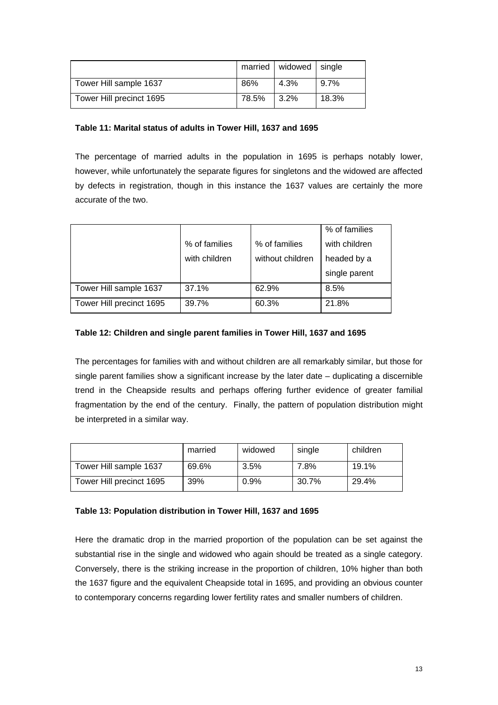|                          |       | married   widowed   single |       |
|--------------------------|-------|----------------------------|-------|
| Tower Hill sample 1637   | 86%   | 4.3%                       | 9.7%  |
| Tower Hill precinct 1695 | 78.5% | $3.2\%$                    | 18.3% |

### **Table 11: Marital status of adults in Tower Hill, 1637 and 1695**

The percentage of married adults in the population in 1695 is perhaps notably lower, however, while unfortunately the separate figures for singletons and the widowed are affected by defects in registration, though in this instance the 1637 values are certainly the more accurate of the two.

|                          |               |                  | % of families |
|--------------------------|---------------|------------------|---------------|
|                          | % of families | % of families    | with children |
|                          | with children | without children | headed by a   |
|                          |               |                  | single parent |
| Tower Hill sample 1637   | 37.1%         | 62.9%            | 8.5%          |
| Tower Hill precinct 1695 | 39.7%         | 60.3%            | 21.8%         |

## **Table 12: Children and single parent families in Tower Hill, 1637 and 1695**

The percentages for families with and without children are all remarkably similar, but those for single parent families show a significant increase by the later date – duplicating a discernible trend in the Cheapside results and perhaps offering further evidence of greater familial fragmentation by the end of the century. Finally, the pattern of population distribution might be interpreted in a similar way.

|                          | married | widowed | single | children |
|--------------------------|---------|---------|--------|----------|
| Tower Hill sample 1637   | 69.6%   | 3.5%    | 7.8%   | 19.1%    |
| Tower Hill precinct 1695 | 39%     | $0.9\%$ | 30.7%  | 29.4%    |

#### **Table 13: Population distribution in Tower Hill, 1637 and 1695**

Here the dramatic drop in the married proportion of the population can be set against the substantial rise in the single and widowed who again should be treated as a single category. Conversely, there is the striking increase in the proportion of children, 10% higher than both the 1637 figure and the equivalent Cheapside total in 1695, and providing an obvious counter to contemporary concerns regarding lower fertility rates and smaller numbers of children.